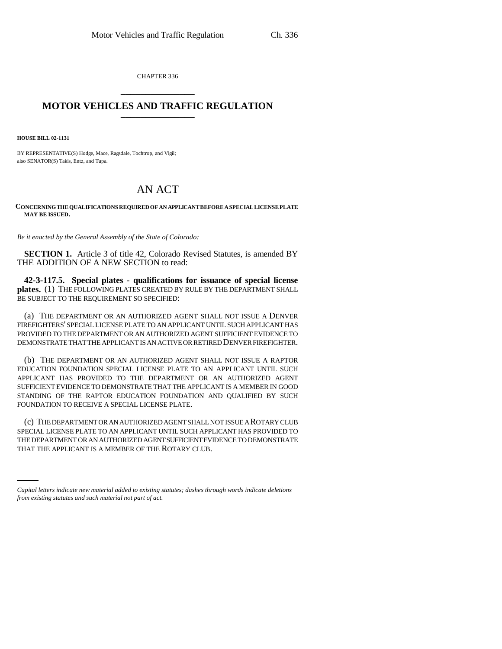CHAPTER 336 \_\_\_\_\_\_\_\_\_\_\_\_\_\_\_

## **MOTOR VEHICLES AND TRAFFIC REGULATION** \_\_\_\_\_\_\_\_\_\_\_\_\_\_\_

**HOUSE BILL 02-1131**

BY REPRESENTATIVE(S) Hodge, Mace, Ragsdale, Tochtrop, and Vigil; also SENATOR(S) Takis, Entz, and Tupa.

## AN ACT

## **CONCERNING THE QUALIFICATIONS REQUIRED OF AN APPLICANT BEFORE A SPECIAL LICENSE PLATE MAY BE ISSUED.**

*Be it enacted by the General Assembly of the State of Colorado:*

**SECTION 1.** Article 3 of title 42, Colorado Revised Statutes, is amended BY THE ADDITION OF A NEW SECTION to read:

**42-3-117.5. Special plates - qualifications for issuance of special license plates.** (1) THE FOLLOWING PLATES CREATED BY RULE BY THE DEPARTMENT SHALL BE SUBJECT TO THE REQUIREMENT SO SPECIFIED:

(a) THE DEPARTMENT OR AN AUTHORIZED AGENT SHALL NOT ISSUE A DENVER FIREFIGHTERS' SPECIAL LICENSE PLATE TO AN APPLICANT UNTIL SUCH APPLICANT HAS PROVIDED TO THE DEPARTMENT OR AN AUTHORIZED AGENT SUFFICIENT EVIDENCE TO DEMONSTRATE THAT THE APPLICANT IS AN ACTIVE OR RETIRED DENVER FIREFIGHTER.

(b) THE DEPARTMENT OR AN AUTHORIZED AGENT SHALL NOT ISSUE A RAPTOR EDUCATION FOUNDATION SPECIAL LICENSE PLATE TO AN APPLICANT UNTIL SUCH APPLICANT HAS PROVIDED TO THE DEPARTMENT OR AN AUTHORIZED AGENT SUFFICIENT EVIDENCE TO DEMONSTRATE THAT THE APPLICANT IS A MEMBER IN GOOD STANDING OF THE RAPTOR EDUCATION FOUNDATION AND QUALIFIED BY SUCH FOUNDATION TO RECEIVE A SPECIAL LICENSE PLATE.

THE DEPARTMENT OR AN AUTHORIZED AGENT SUFFICIENT EVIDENCE TO DEMONSTRATE (c) THE DEPARTMENT OR AN AUTHORIZED AGENT SHALL NOT ISSUE A ROTARY CLUB SPECIAL LICENSE PLATE TO AN APPLICANT UNTIL SUCH APPLICANT HAS PROVIDED TO THAT THE APPLICANT IS A MEMBER OF THE ROTARY CLUB.

*Capital letters indicate new material added to existing statutes; dashes through words indicate deletions from existing statutes and such material not part of act.*